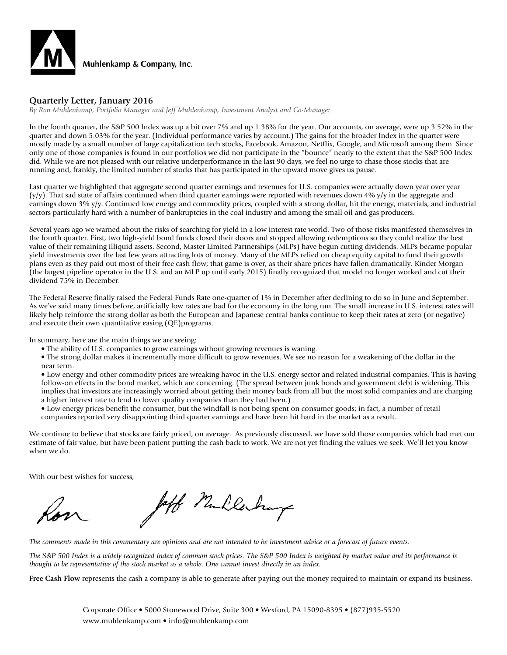

#### **Quarterly Letter, January 2016**

*By Ron Muhlenkamp, Portfolio Manager and Jeff Muhlenkamp, Investment Analyst and Co-Manager*

In the fourth quarter, the S&P 500 Index was up a bit over 7% and up 1.38% for the year. Our accounts, on average, were up 3.52% in the quarter and down 5.03% for the year. (Individual performance varies by account.) The gains for the broader Index in the quarter were mostly made by a small number of large capitalization tech stocks, Facebook, Amazon, Netflix, Google, and Microsoft among them. Since only one of those companies is found in our portfolios we did not participate in the "bounce" nearly to the extent that the S&P 500 Index did. While we are not pleased with our relative underperformance in the last 90 days, we feel no urge to chase those stocks that are running and, frankly, the limited number of stocks that has participated in the upward move gives us pause.

Last quarter we highlighted that aggregate second quarter earnings and revenues for U.S. companies were actually down year over year  $(y/y)$ . That sad state of affairs continued when third quarter earnings were reported with revenues down 4%  $y/y$  in the aggregate and earnings down 3% y/y. Continued low energy and commodity prices, coupled with a strong dollar, hit the energy, materials, and industrial sectors particularly hard with a number of bankruptcies in the coal industry and among the small oil and gas producers.

Several years ago we warned about the risks of searching for yield in a low interest rate world. Two of those risks manifested themselves in the fourth quarter. First, two high-yield bond funds closed their doors and stopped allowing redemptions so they could realize the best value of their remaining illiquid assets. Second, Master Limited Partnerships (MLPs) have begun cutting dividends. MLPs became popular yield investments over the last few years attracting lots of money. Many of the MLPs relied on cheap equity capital to fund their growth plans even as they paid out most of their free cash flow; that game is over, as their share prices have fallen dramatically. Kinder Morgan (the largest pipeline operator in the U.S. and an MLP up until early 2015) finally recognized that model no longer worked and cut their dividend 75% in December.

The Federal Reserve finally raised the Federal Funds Rate one-quarter of 1% in December after declining to do so in June and September. As we've said many times before, artificially low rates are bad for the economy in the long run. The small increase in U.S. interest rates will likely help reinforce the strong dollar as both the European and Japanese central banks continue to keep their rates at zero (or negative) and execute their own quantitative easing (QE)programs.

In summary, here are the main things we are seeing:

- The ability of U.S. companies to grow earnings without growing revenues is waning.
- The strong dollar makes it incrementally more difficult to grow revenues. We see no reason for a weakening of the dollar in the near term.

• Low energy and other commodity prices are wreaking havoc in the U.S. energy sector and related industrial companies. This is having follow-on effects in the bond market, which are concerning. (The spread between junk bonds and government debt is widening. This implies that investors are increasingly worried about getting their money back from all but the most solid companies and are charging a higher interest rate to lend to lower quality companies than they had been.)

• Low energy prices benefit the consumer, but the windfall is not being spent on consumer goods; in fact, a number of retail companies reported very disappointing third quarter earnings and have been hit hard in the market as a result.

We continue to believe that stocks are fairly priced, on average. As previously discussed, we have sold those companies which had met our estimate of fair value, but have been patient putting the cash back to work. We are not yet finding the values we seek. We'll let you know when we do.

With our best wishes for success,

off Mullerhays

*The comments made in this commentary are opinions and are not intended to be investment advice or a forecast of future events.*

*The S&P 500 Index is a widely recognized index of common stock prices. The S&P 500 Index is weighted by market value and its performance is thought to be representative of the stock market as a whole. One cannot invest directly in an index.*

**Free Cash Flow** represents the cash a company is able to generate after paying out the money required to maintain or expand its business.

Corporate Office • 5000 Stonewood Drive, Suite 300 • Wexford, PA 15090-8395 • (877)935-5520 www.muhlenkamp.com • info@muhlenkamp.com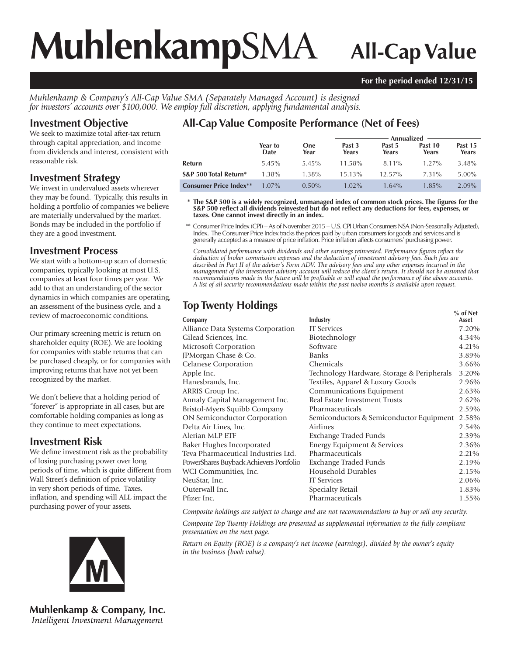# **Muhlenkamp**SMA **All-Cap Value**

#### **For the period ended 12/31/15**

*Muhlenkamp & Company's All-Cap Value SMA (Separately Managed Account) is designed for investors' accounts over \$100,000. We employ full discretion, applying fundamental analysis.*

## **Investment Objective**

We seek to maximize total after-tax return through capital appreciation, and income from dividends and interest, consistent with reasonable risk.

#### **Investment Strategy**

We invest in undervalued assets wherever they may be found. Typically, this results in holding a portfolio of companies we believe are materially undervalued by the market. Bonds may be included in the portfolio if they are a good investment.

### **Investment Process**

We start with a bottom-up scan of domestic companies, typically looking at most U.S. companies at least four times per year. We add to that an understanding of the sector dynamics in which companies are operating, an assessment of the business cycle, and a review of macroeconomic conditions.

Our primary screening metric is return on shareholder equity (ROE). We are looking for companies with stable returns that can be purchased cheaply, or for companies with improving returns that have not yet been recognized by the market.

We don't believe that a holding period of "forever" is appropriate in all cases, but are comfortable holding companies as long as they continue to meet expectations.

# **Investment Risk**

We define investment risk as the probability of losing purchasing power over long periods of time, which is quite different from Wall Street's definition of price volatility in very short periods of time. Taxes, inflation, and spending will ALL impact the purchasing power of your assets.



**Muhlenkamp & Company, Inc.** Intelligent Investment Management

# **All-Cap Value Composite Performance (Net of Fees)**

|                               |                 |                    | Annualized      |                 |                  |                  |  |
|-------------------------------|-----------------|--------------------|-----------------|-----------------|------------------|------------------|--|
|                               | Year to<br>Date | <b>One</b><br>Year | Past 3<br>Years | Past 5<br>Years | Past 10<br>Years | Past 15<br>Years |  |
| Refurn                        | $-5.45\%$       | $-5.45\%$          | $11.58\%$       | 8.11%           | $1.27\%$         | 3.48%            |  |
| S&P 500 Total Return*         | $1.38\%$        | 1.38%              | $15.13\%$       | $12.57\%$       | 7.31%            | 5.00%            |  |
| <b>Consumer Price Index**</b> | $1.07\%$        | $0.50\%$           | $1.02\%$        | $1.64\%$        | $1.85\%$         | $2.09\%$         |  |

\* The S&P 500 is a widely recognized, unmanaged index of common stock prices. The figures for the S&P 500 reflect all dividends reinvested but do not reflect any deductions for fees, expenses, or **taxes. One cannot invest directly in an index.**

 \*\* Consumer Price Index (CPI) – As of November 2015 – U.S. CPI Urban Consumers NSA (Non-Seasonally Adjusted), Index. The Consumer Price Index tracks the prices paid by urban consumers for goods and services and is generally accepted as a measure of price infl ation. Price infl ation affects consumers' purchasing power.

Consolidated performance with dividends and other earnings reinvested. Performance figures reflect the *deduction of broker commission expenses and the deduction of investment advisory fees. Such fees are described in Part II of the adviser's Form ADV. The advisory fees and any other expenses incurred in the management of the investment advisory account will reduce the client's return. It should not be assumed that recommendations made in the future will be profi table or will equal the performance of the above accounts. A list of all security recommendations made within the past twelve months is available upon request.*

# **Top Twenty Holdings**

|                                         |                                            | $%$ of Net |
|-----------------------------------------|--------------------------------------------|------------|
| Company                                 | Industry                                   | Asset      |
| Alliance Data Systems Corporation       | <b>IT</b> Services                         | 7.20%      |
| Gilead Sciences, Inc.                   | Biotechnology                              | 4.34%      |
| Microsoft Corporation                   | Software                                   | 4.21%      |
| JPMorgan Chase & Co.                    | <b>Banks</b>                               | 3.89%      |
| <b>Celanese Corporation</b>             | Chemicals                                  | 3.66%      |
| Apple Inc.                              | Technology Hardware, Storage & Peripherals | 3.20%      |
| Hanesbrands, Inc.                       | Textiles, Apparel & Luxury Goods           | 2.96%      |
| ARRIS Group Inc.                        | Communications Equipment                   | 2.63%      |
| Annaly Capital Management Inc.          | Real Estate Investment Trusts              | 2.62%      |
| Bristol-Myers Squibb Company            | Pharmaceuticals                            | 2.59%      |
| ON Semiconductor Corporation            | Semiconductors & Semiconductor Equipment   | 2.58%      |
| Delta Air Lines, Inc.                   | Airlines                                   | 2.54%      |
| Alerian MLP ETF                         | Exchange Traded Funds                      | 2.39%      |
| Baker Hughes Incorporated               | Energy Equipment & Services                | 2.36%      |
| Teva Pharmaceutical Industries Ltd.     | Pharmaceuticals                            | 2.21%      |
| PowerShares Buyback Achievers Portfolio | Exchange Traded Funds                      | 2.19%      |
| WCI Communities, Inc.                   | Household Durables                         | 2.15%      |
| NeuStar, Inc.                           | <b>IT</b> Services                         | 2.06%      |
| Outerwall Inc.                          | Specialty Retail                           | 1.83%      |
| Pfizer Inc.                             | Pharmaceuticals                            | 1.55%      |
|                                         |                                            |            |

*Composite holdings are subject to change and are not recommendations to buy or sell any security.*

*Composite Top Twenty Holdings are presented as supplemental information to the fully compliant presentation on the next page.*

*Return on Equity (ROE) is a company's net income (earnings), divided by the owner's equity in the business (book value).*